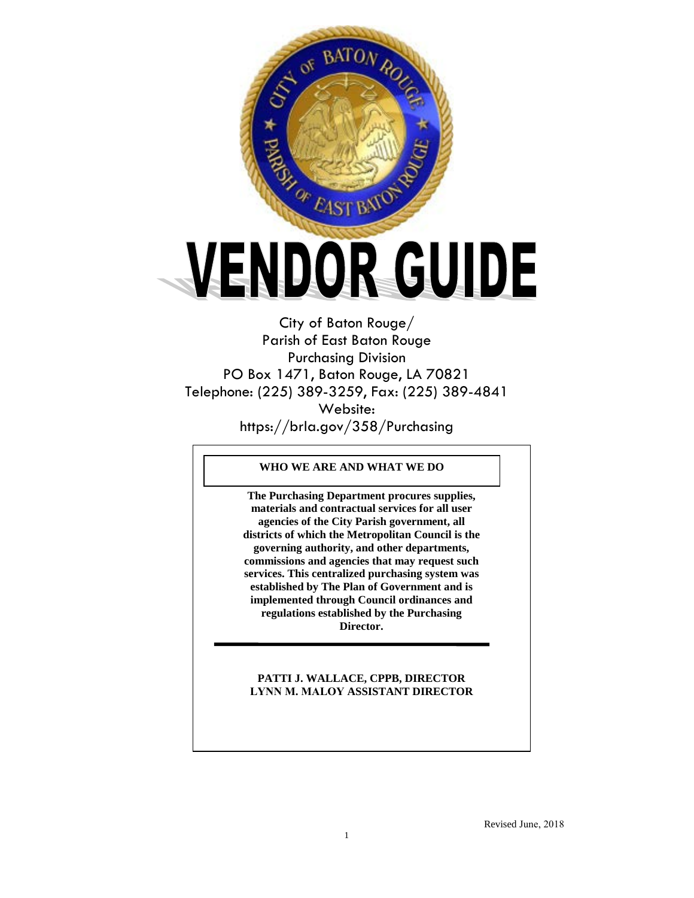

City of Baton Rouge/ Parish of East Baton Rouge Purchasing Division PO Box 1471, Baton Rouge, LA 70821 Telephone: (225) 389-3259, Fax: (225) 389-4841 Website: https://brla.gov/358/Purchasing

## **WHO WE ARE AND WHAT WE DO**

**The Purchasing Department procures supplies, materials and contractual services for all user agencies of the City Parish government, all districts of which the Metropolitan Council is the governing authority, and other departments, commissions and agencies that may request such services. This centralized purchasing system was established by The Plan of Government and is implemented through Council ordinances and regulations established by the Purchasing Director.**

# **PATTI J. WALLACE, CPPB, DIRECTOR LYNN M. MALOY ASSISTANT DIRECTOR**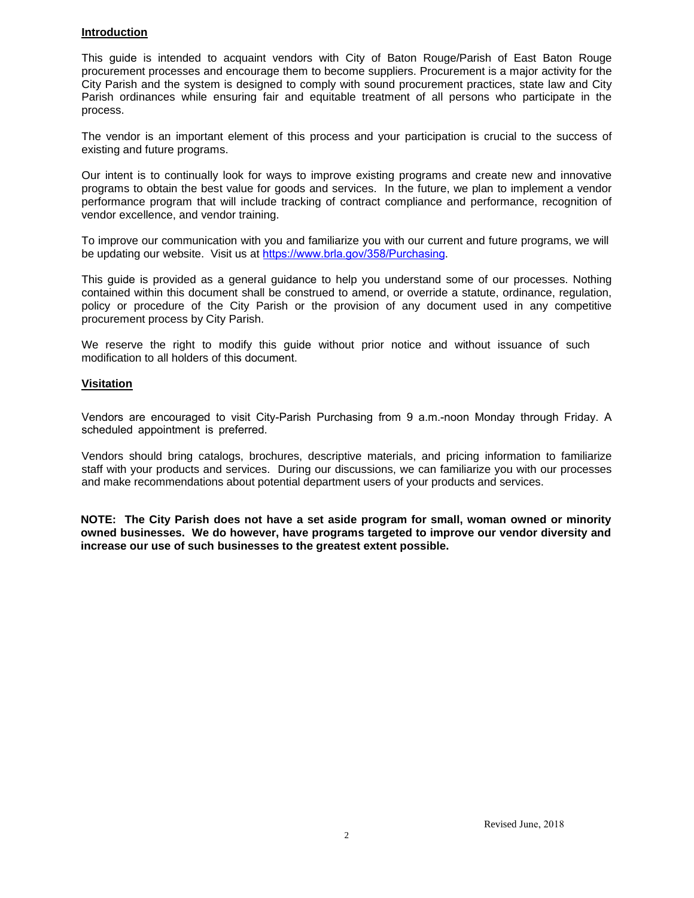# **Introduction**

This guide is intended to acquaint vendors with City of Baton Rouge/Parish of East Baton Rouge procurement processes and encourage them to become suppliers. Procurement is a major activity for the City Parish and the system is designed to comply with sound procurement practices, state law and City Parish ordinances while ensuring fair and equitable treatment of all persons who participate in the process.

The vendor is an important element of this process and your participation is crucial to the success of existing and future programs.

Our intent is to continually look for ways to improve existing programs and create new and innovative programs to obtain the best value for goods and services. In the future, we plan to implement a vendor performance program that will include tracking of contract compliance and performance, recognition of vendor excellence, and vendor training.

To improve our communication with you and familiarize you with our current and future programs, we will be updating our website. Visit us at [https://www.brla.gov/358/Purcha](http://brgov.com/dept/purchase)sing.

This guide is provided as a general guidance to help you understand some of our processes. Nothing contained within this document shall be construed to amend, or override a statute, ordinance, regulation, policy or procedure of the City Parish or the provision of any document used in any competitive procurement process by City Parish.

We reserve the right to modify this guide without prior notice and without issuance of such modification to all holders of this document.

# **Visitation**

Vendors are encouraged to visit City-Parish Purchasing from 9 a.m.-noon Monday through Friday. A scheduled appointment is preferred.

Vendors should bring catalogs, brochures, descriptive materials, and pricing information to familiarize staff with your products and services. During our discussions, we can familiarize you with our processes and make recommendations about potential department users of your products and services.

**NOTE: The City Parish does not have a set aside program for small, woman owned or minority owned businesses. We do however, have programs targeted to improve our vendor diversity and increase our use of such businesses to the greatest extent possible.**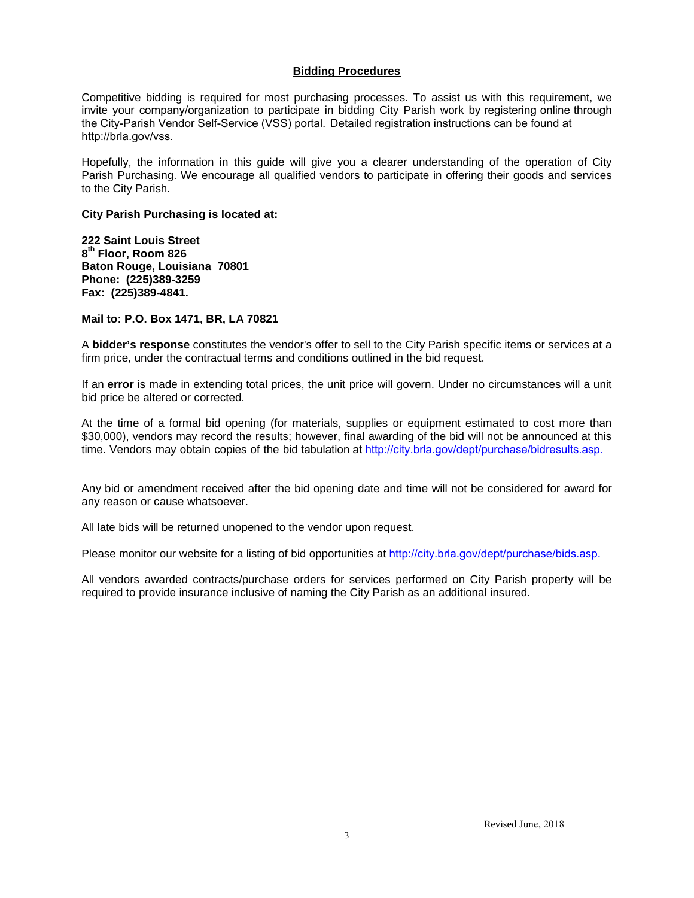#### **Bidding Procedures**

Competitive bidding is required for most purchasing processes. To assist us with this requirement, we invite your company/organization to participate in bidding City Parish work by registering online through the City-Parish Vendor Self-Service (VSS) portal. [Detailed registration instructions c](http://brgov.com/dept/purchase)an be found at http://brla.gov/vss.

Hopefully, the information in this guide will give you a clearer understanding of the operation of City Parish Purchasing. We encourage all qualified vendors to participate in offering their goods and services to the City Parish.

#### **City Parish Purchasing is located at:**

**222 Saint Louis Street 8th Floor, Room 826 Baton Rouge, Louisiana 70801 Phone: (225)389-3259 Fax: (225)389-4841.**

#### **Mail to: P.O. Box 1471, BR, LA 70821**

A **bidder's response** constitutes the vendor's offer to sell to the City Parish specific items or services at a firm price, under the contractual terms and conditions outlined in the bid request.

If an **error** is made in extending total prices, the unit price will govern. Under no circumstances will a unit bid price be altered or corrected.

At the time of a formal bid opening (for materials, supplies or equipment estimated to cost more than \$30,000), vendors may record the results; however, final awarding of the bid will not be announced at this time. Vendors may obtain copies of the bid tabulation at http://city.brla.gov/dept/purchase/bidresults.asp.

Any bid or amendment received after the bid opening date and time will not be considered for award for any reason or cause whatsoever.

All late bids will be returned unopened to the vendor upon request.

Please monitor our website for a listing of bid opportunities at http://ci[ty.brla.gov/dept/purchase/bids.asp](http://www.brgov.com/dept/purchase/bids.asp).

All vendors awarded contracts/purchase orders for services performed on City Parish property will be required to provide insurance inclusive of naming the City Parish as an additional insured.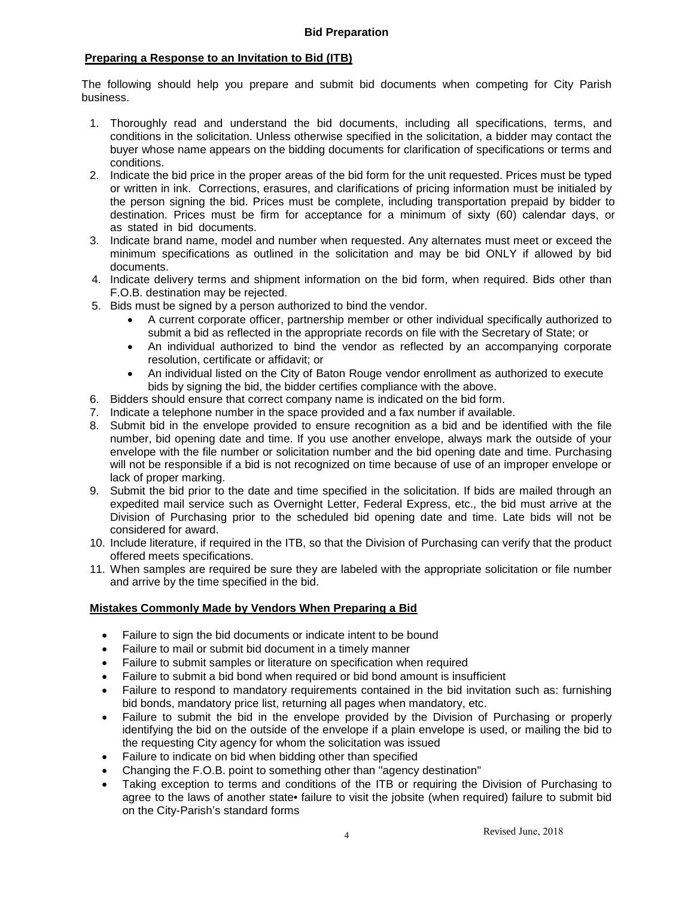# **Preparing a Response to an Invitation to Bid (ITB)**

The following should help you prepare and submit bid documents when competing for City Parish business.

- 1. Thoroughly read and understand the bid documents, including all specifications, terms, and conditions in the solicitation. Unless otherwise specified in the solicitation, a bidder may contact the buyer whose name appears on the bidding documents for clarification of specifications or terms and conditions.
- 2. Indicate the bid price in the proper areas of the bid form for the unit requested. Prices must be typed or written in ink. Corrections, erasures, and clarifications of pricing information must be initialed by the person signing the bid. Prices must be complete, including transportation prepaid by bidder to destination. Prices must be firm for acceptance for a minimum of sixty (60) calendar days, or as stated in bid documents.
- 3. Indicate brand name, model and number when requested. Any alternates must meet or exceed the minimum specifications as outlined in the solicitation and may be bid ONLY if allowed by bid documents.
- 4. Indicate delivery terms and shipment information on the bid form, when required. Bids other than F.O.B. destination may be rejected.
- 5. Bids must be signed by a person authorized to bind the vendor.
	- A current corporate officer, partnership member or other individual specifically authorized to submit a bid as reflected in the appropriate records on file with the Secretary of State; or
	- An individual authorized to bind the vendor as reflected by an accompanying corporate resolution, certificate or affidavit; or
	- An individual listed on the City of Baton Rouge vendor enrollment as authorized to execute bids by signing the bid, the bidder certifies compliance with the above.
- 6. Bidders should ensure that correct company name is indicated on the bid form.
- 7. Indicate a telephone number in the space provided and a fax number if available.
- 8. Submit bid in the envelope provided to ensure recognition as a bid and be identified with the file number, bid opening date and time. If you use another envelope, always mark the outside of your envelope with the file number or solicitation number and the bid opening date and time. Purchasing will not be responsible if a bid is not recognized on time because of use of an improper envelope or lack of proper marking.
- 9. Submit the bid prior to the date and time specified in the solicitation. If bids are mailed through an expedited mail service such as Overnight Letter, Federal Express, etc., the bid must arrive at the Division of Purchasing prior to the scheduled bid opening date and time. Late bids will not be considered for award.
- 10. Include literature, if required in the ITB, so that the Division of Purchasing can verify that the product offered meets specifications.
- 11. When samples are required be sure they are labeled with the appropriate solicitation or file number and arrive by the time specified in the bid.

# **Mistakes Commonly Made by Vendors When Preparing a Bid**

- Failure to sign the bid documents or indicate intent to be bound
- Failure to mail or submit bid document in a timely manner
- Failure to submit samples or literature on specification when required
- Failure to submit a bid bond when required or bid bond amount is insufficient
- Failure to respond to mandatory requirements contained in the bid invitation such as: furnishing bid bonds, mandatory price list, returning all pages when mandatory, etc.
- Failure to submit the bid in the envelope provided by the Division of Purchasing or properly identifying the bid on the outside of the envelope if a plain envelope is used, or mailing the bid to the requesting City agency for whom the solicitation was issued
- Failure to indicate on bid when bidding other than specified
- Changing the F.O.B. point to something other than "agency destination"
- Taking exception to terms and conditions of the ITB or requiring the Division of Purchasing to agree to the laws of another state• failure to visit the jobsite (when required) failure to submit bid on the City-Parish's standard forms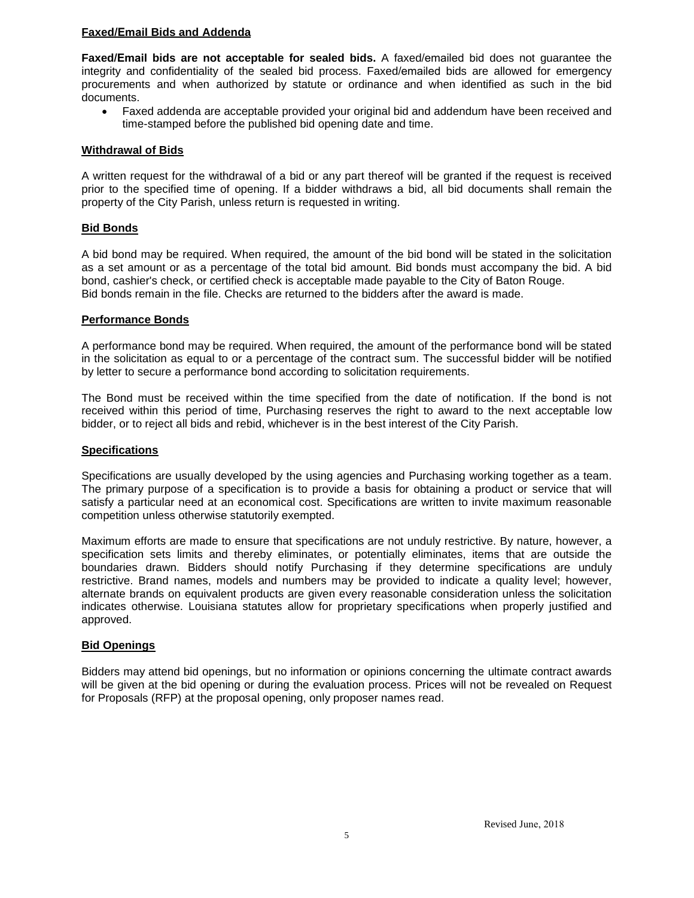# **Faxed/Email Bids and Addenda**

**Faxed/Email bids are not acceptable for sealed bids.** A faxed/emailed bid does not guarantee the integrity and confidentiality of the sealed bid process. Faxed/emailed bids are allowed for emergency procurements and when authorized by statute or ordinance and when identified as such in the bid documents.

• Faxed addenda are acceptable provided your original bid and addendum have been received and time-stamped before the published bid opening date and time.

## **Withdrawal of Bids**

A written request for the withdrawal of a bid or any part thereof will be granted if the request is received prior to the specified time of opening. If a bidder withdraws a bid, all bid documents shall remain the property of the City Parish, unless return is requested in writing.

# **Bid Bonds**

A bid bond may be required. When required, the amount of the bid bond will be stated in the solicitation as a set amount or as a percentage of the total bid amount. Bid bonds must accompany the bid. A bid bond, cashier's check, or certified check is acceptable made payable to the City of Baton Rouge. Bid bonds remain in the file. Checks are returned to the bidders after the award is made.

## **Performance Bonds**

A performance bond may be required. When required, the amount of the performance bond will be stated in the solicitation as equal to or a percentage of the contract sum. The successful bidder will be notified by letter to secure a performance bond according to solicitation requirements.

The Bond must be received within the time specified from the date of notification. If the bond is not received within this period of time, Purchasing reserves the right to award to the next acceptable low bidder, or to reject all bids and rebid, whichever is in the best interest of the City Parish.

## **Specifications**

Specifications are usually developed by the using agencies and Purchasing working together as a team. The primary purpose of a specification is to provide a basis for obtaining a product or service that will satisfy a particular need at an economical cost. Specifications are written to invite maximum reasonable competition unless otherwise statutorily exempted.

Maximum efforts are made to ensure that specifications are not unduly restrictive. By nature, however, a specification sets limits and thereby eliminates, or potentially eliminates, items that are outside the boundaries drawn. Bidders should notify Purchasing if they determine specifications are unduly restrictive. Brand names, models and numbers may be provided to indicate a quality level; however, alternate brands on equivalent products are given every reasonable consideration unless the solicitation indicates otherwise. Louisiana statutes allow for proprietary specifications when properly justified and approved.

## **Bid Openings**

Bidders may attend bid openings, but no information or opinions concerning the ultimate contract awards will be given at the bid opening or during the evaluation process. Prices will not be revealed on Request for Proposals (RFP) at the proposal opening, only proposer names read.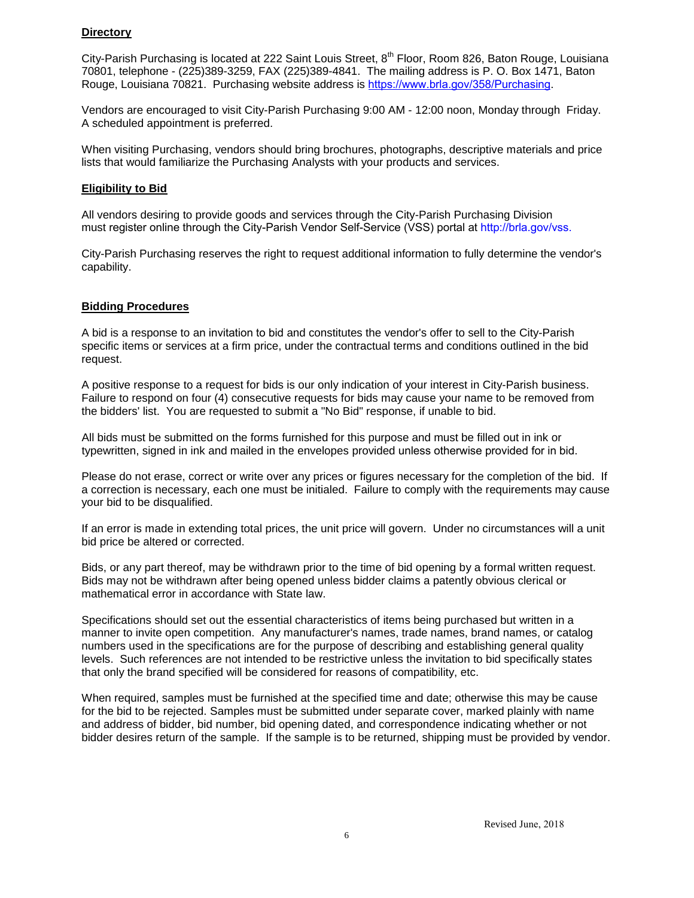# **Directory**

City-Parish Purchasing is located at 222 Saint Louis Street, 8<sup>th</sup> Floor, Room 826, Baton Rouge, Louisiana 70801, telephone - (225)389-3259, FAX (225)389-4841. The mailing address is P. O. Box 1471, Baton Rouge, Louisiana 70821. Purchasing website address is [https://www.brla.gov/358/Purchasing](http://www.brgov.com/dept/purchase/).

Vendors are encouraged to visit City-Parish Purchasing 9:00 AM - 12:00 noon, Monday through Friday. A scheduled appointment is preferred.

When visiting Purchasing, vendors should bring brochures, photographs, descriptive materials and price lists that would familiarize the Purchasing Analysts with your products and services.

#### **Eligibility to Bid**

All vendors desiring to provide goods and services through the City-Parish Purchasing Division must register online through the City-Parish Vendor Self-Service (VSS) portal at http://brla.gov/vss.

City-Parish Purchasing reserves the right to request additional information to fully determine the vendor's capability.

# **Bidding Procedures**

A bid is a response to an invitation to bid and constitutes the vendor's offer to sell to the City-Parish specific items or services at a firm price, under the contractual terms and conditions outlined in the bid request.

A positive response to a request for bids is our only indication of your interest in City-Parish business. Failure to respond on four (4) consecutive requests for bids may cause your name to be removed from the bidders' list. You are requested to submit a "No Bid" response, if unable to bid.

All bids must be submitted on the forms furnished for this purpose and must be filled out in ink or typewritten, signed in ink and mailed in the envelopes provided unless otherwise provided for in bid.

Please do not erase, correct or write over any prices or figures necessary for the completion of the bid. If a correction is necessary, each one must be initialed. Failure to comply with the requirements may cause your bid to be disqualified.

If an error is made in extending total prices, the unit price will govern. Under no circumstances will a unit bid price be altered or corrected.

Bids, or any part thereof, may be withdrawn prior to the time of bid opening by a formal written request. Bids may not be withdrawn after being opened unless bidder claims a patently obvious clerical or mathematical error in accordance with State law.

Specifications should set out the essential characteristics of items being purchased but written in a manner to invite open competition. Any manufacturer's names, trade names, brand names, or catalog numbers used in the specifications are for the purpose of describing and establishing general quality levels. Such references are not intended to be restrictive unless the invitation to bid specifically states that only the brand specified will be considered for reasons of compatibility, etc.

When required, samples must be furnished at the specified time and date; otherwise this may be cause for the bid to be rejected. Samples must be submitted under separate cover, marked plainly with name and address of bidder, bid number, bid opening dated, and correspondence indicating whether or not bidder desires return of the sample. If the sample is to be returned, shipping must be provided by vendor.